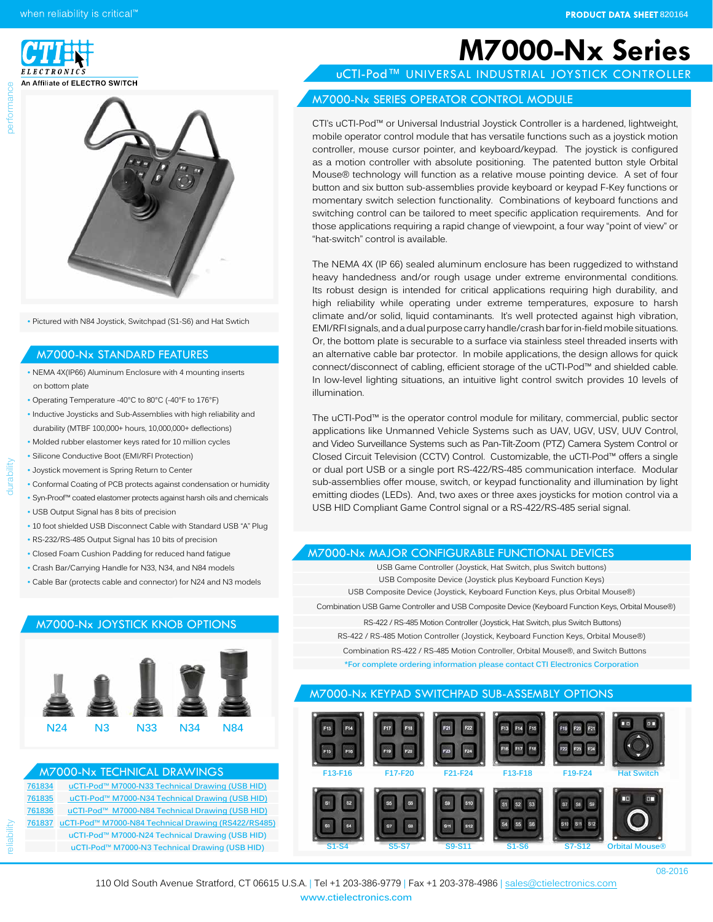when reliability is critical<sup>™</sup>





• Pictured with N84 Joystick, Switchpad (S1-S6) and Hat Swtich

#### M7000-Nx STANDARD FEATURES

- NEMA 4X(IP66) Aluminum Enclosure with 4 mounting inserts on bottom plate
- Operating Temperature -40°C to 80°C (-40°F to 176°F)
- Inductive Joysticks and Sub-Assemblies with high reliability and durability (MTBF 100,000+ hours, 10,000,000+ deflections)
- Molded rubber elastomer keys rated for 10 million cycles • Silicone Conductive Boot (EMI/RFI Protection)
- Joystick movement is Spring Return to Center

reliability durability durability durability and durability descriptions of the conservation of the conservation of  $\alpha$ 

berformar

- 
- Conformal Coating of PCB protects against condensation or humidity • Syn-Proof™ coated elastomer protects against harsh oils and chemicals
- USB Output Signal has 8 bits of precision
- 10 foot shielded USB Disconnect Cable with Standard USB "A" Plug
- RS-232/RS-485 Output Signal has 10 bits of precision
- Closed Foam Cushion Padding for reduced hand fatigue
- Crash Bar/Carrying Handle for N33, N34, and N84 models
- Cable Bar (protects cable and connector) for N24 and N3 models

### M7000-Nx JOYSTICK KNOB OPTIONS



#### **[761834](http://www.ctielectronics.com/pdf/761834-uCTI-Pod-Universal-Industrial-Joystick-Controller-M7XUX-N33-Technical-Drawing.pdf) uCTI-Pod™ M7000-N33 [Technical Drawing](http://www.ctielectronics.com/pdf/761834-uCTI-Pod-Universal-Industrial-Joystick-Controller-M7XUX-N33-Technical-Drawing.pdf) (USB HID) [761835](http://www.ctielectronics.com/pdf/761835-uCTI-Pod-Universal-Industrial-Joystick-Controller-M7XUX-N34-Technical-Drawing.pdf) uCTI-Pod™ M7000-N34 [Technical Drawing](http://www.ctielectronics.com/pdf/761835-uCTI-Pod-Universal-Industrial-Joystick-Controller-M7XUX-N34-Technical-Drawing.pdf) (USB HID) [761836](http://www.ctielectronics.com/pdf/761836-uCTI-Pod-Universal-Industrial-Joystick-Controller-M7XUX-N84-Technical-Drawing.pdf) uCTI-Pod™ M7000-N84 [Technical Drawing](http://www.ctielectronics.com/pdf/761836-uCTI-Pod-Universal-Industrial-Joystick-Controller-M7XUX-N84-Technical-Drawing.pdf) (USB HID) [761837](http://www.ctielectronics.com/pdf/761837-uCTI-Pod-Universal-Industrial-Joystick-Controller-M7X2X-N84-Technical-Drawing.pdf) uCTI-Pod™ M7000-N84 [Technical Drawing](http://www.ctielectronics.com/pdf/761837-uCTI-Pod-Universal-Industrial-Joystick-Controller-M7X2X-N84-Technical-Drawing.pdf) (RS422/RS485) uCTI-Pod™ M7000-N24 [Technical Drawing](http://www.ctielectronics.com/) (USB HID) uCTI-Pod™ M7000-N3 [Technical Drawing](http://www.ctielectronics.com/) (USB HID)** M7000-Nx TECHNICAL DRAWINGS

## **M7000-Nx Series**

uCTI-Pod™ UNIVERSAL INDUSTRIAL JOYSTICK CONTROLLER

#### M7000-Nx SERIES OPERATOR CONTROL MODULE

CTI's uCTI-Pod™ or Universal Industrial Joystick Controller is a hardened, lightweight, mobile operator control module that has versatile functions such as a joystick motion controller, mouse cursor pointer, and keyboard/keypad. The joystick is configured as a motion controller with absolute positioning. The patented button style Orbital Mouse® technology will function as a relative mouse pointing device. A set of four button and six button sub-assemblies provide keyboard or keypad F-Key functions or momentary switch selection functionality. Combinations of keyboard functions and switching control can be tailored to meet specific application requirements. And for those applications requiring a rapid change of viewpoint, a four way "point of view" or "hat-switch" control is available.

The NEMA 4X (IP 66) sealed aluminum enclosure has been ruggedized to withstand heavy handedness and/or rough usage under extreme environmental conditions. Its robust design is intended for critical applications requiring high durability, and high reliability while operating under extreme temperatures, exposure to harsh climate and/or solid, liquid contaminants. It's well protected against high vibration, EMI/RFI signals, and a dual purpose carry handle/crash bar for in-field mobile situations. Or, the bottom plate is securable to a surface via stainless steel threaded inserts with an alternative cable bar protector. In mobile applications, the design allows for quick connect/disconnect of cabling, efficient storage of the uCTI-Pod™ and shielded cable. In low-level lighting situations, an intuitive light control switch provides 10 levels of illumination.

The uCTI-Pod™ is the operator control module for military, commercial, public sector applications like Unmanned Vehicle Systems such as UAV, UGV, USV, UUV Control, and Video Surveillance Systems such as Pan-Tilt-Zoom (PTZ) Camera System Control or Closed Circuit Television (CCTV) Control. Customizable, the uCTI-Pod™ offers a single or dual port USB or a single port RS-422/RS-485 communication interface. Modular sub-assemblies offer mouse, switch, or keypad functionality and illumination by light emitting diodes (LEDs). And, two axes or three axes joysticks for motion control via a USB HID Compliant Game Control signal or a RS-422/RS-485 serial signal.

#### M7000-Nx MAJOR CONFIGURABLE FUNCTIONAL DEVICES

USB Game Controller (Joystick, Hat Switch, plus Switch buttons) USB Composite Device (Joystick plus Keyboard Function Keys) USB Composite Device (Joystick, Keyboard Function Keys, plus Orbital Mouse®) Combination USB Game Controller and USB Composite Device (Keyboard Function Keys, Orbital Mouse®) RS-422 / RS-485 Motion Controller (Joystick, Hat Switch, plus Switch Buttons) RS-422 / RS-485 Motion Controller (Joystick, Keyboard Function Keys, Orbital Mouse®) Combination RS-422 / RS-485 Motion Controller, Orbital Mouse®, and Switch Buttons **\*For complete ordering information please contact CTI Electronics Corporation** 

#### M7000-Nx KEYPAD SWITCHPAD SUB-ASSEMBLY OPTIONS